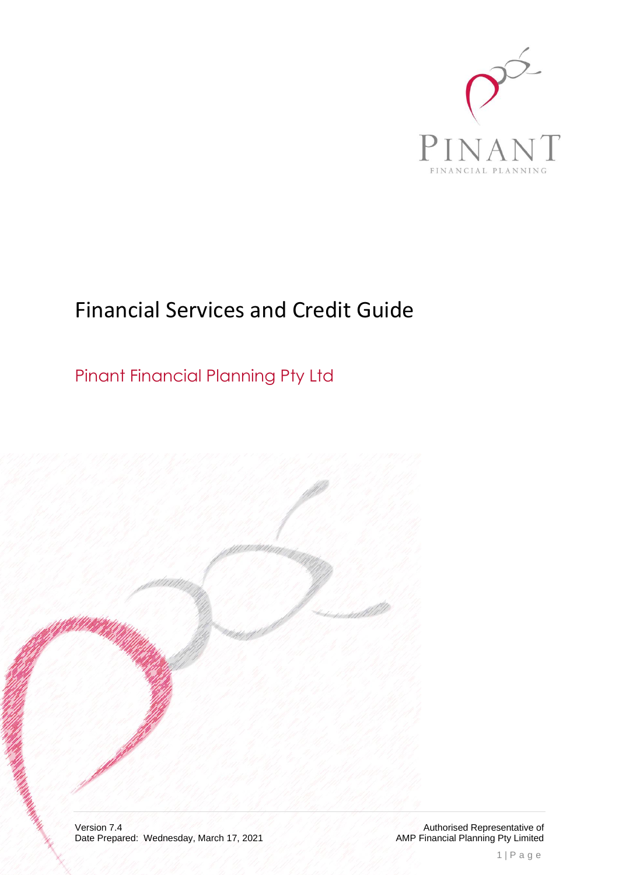

# Financial Services and Credit Guide

Pinant Financial Planning Pty Ltd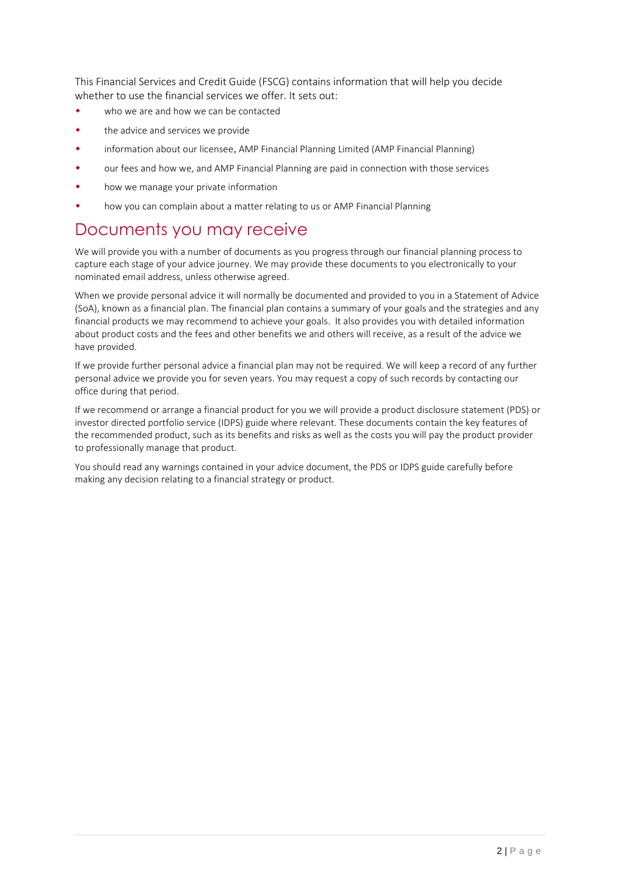This Financial Services and Credit Guide (FSCG) contains information that will help you decide whether to use the financial services we offer. It sets out:

- who we are and how we can be contacted
- the advice and services we provide
- information about our licensee, AMP Financial Planning Limited (AMP Financial Planning)
- our fees and how we, and AMP Financial Planning are paid in connection with those services
- how we manage your private information
- how you can complain about a matter relating to us or AMP Financial Planning

## Documents you may receive

We will provide you with a number of documents as you progress through our financial planning process to capture each stage of your advice journey. We may provide these documents to you electronically to your nominated email address, unless otherwise agreed.

When we provide personal advice it will normally be documented and provided to you in a Statement of Advice (SoA), known as a financial plan. The financial plan contains a summary of your goals and the strategies and any financial products we may recommend to achieve your goals. It also provides you with detailed information about product costs and the fees and other benefits we and others will receive, as a result of the advice we have provided.

If we provide further personal advice a financial plan may not be required. We will keep a record of any further personal advice we provide you for seven years. You may request a copy of such records by contacting our office during that period.

If we recommend or arrange a financial product for you we will provide a product disclosure statement (PDS) or investor directed portfolio service (IDPS) guide where relevant. These documents contain the key features of the recommended product, such as its benefits and risks as well as the costs you will pay the product provider to professionally manage that product.

You should read any warnings contained in your advice document, the PDS or IDPS guide carefully before making any decision relating to a financial strategy or product.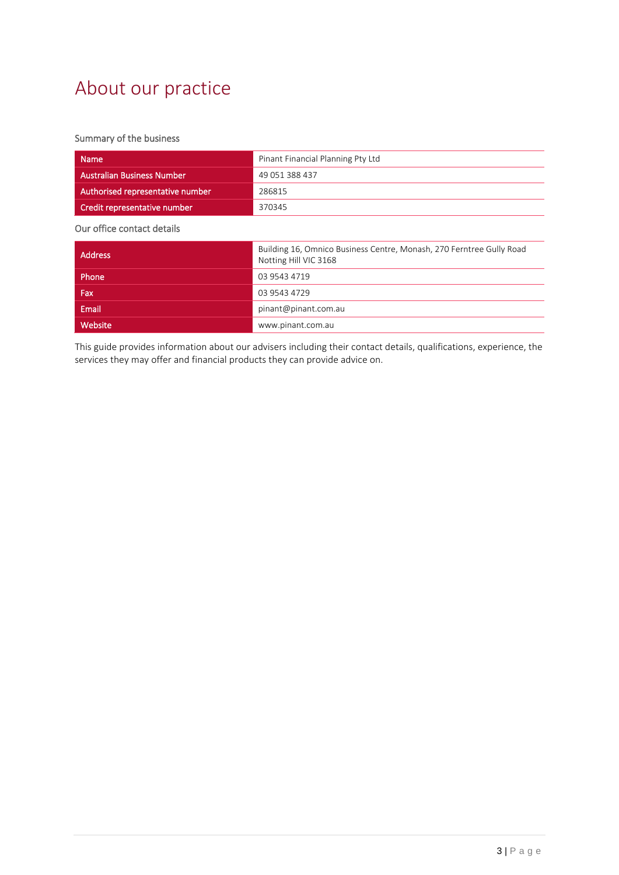# About our practice

### Summary of the business

| <b>Name</b>                       | Pinant Financial Planning Pty Ltd                                                             |  |  |
|-----------------------------------|-----------------------------------------------------------------------------------------------|--|--|
| <b>Australian Business Number</b> | 49 051 388 437                                                                                |  |  |
| Authorised representative number  | 286815                                                                                        |  |  |
| Credit representative number      | 370345                                                                                        |  |  |
| Our office contact details        |                                                                                               |  |  |
| <b>Address</b>                    | Building 16, Omnico Business Centre, Monash, 270 Ferntree Gully Road<br>Notting Hill VIC 3168 |  |  |
| Phone                             | 03 9543 4719                                                                                  |  |  |
| Fax                               | 03 9543 4729                                                                                  |  |  |
| Email                             | pinant@pinant.com.au                                                                          |  |  |
| Website                           | www.pinant.com.au                                                                             |  |  |

This guide provides information about our advisers including their contact details, qualifications, experience, the services they may offer and financial products they can provide advice on.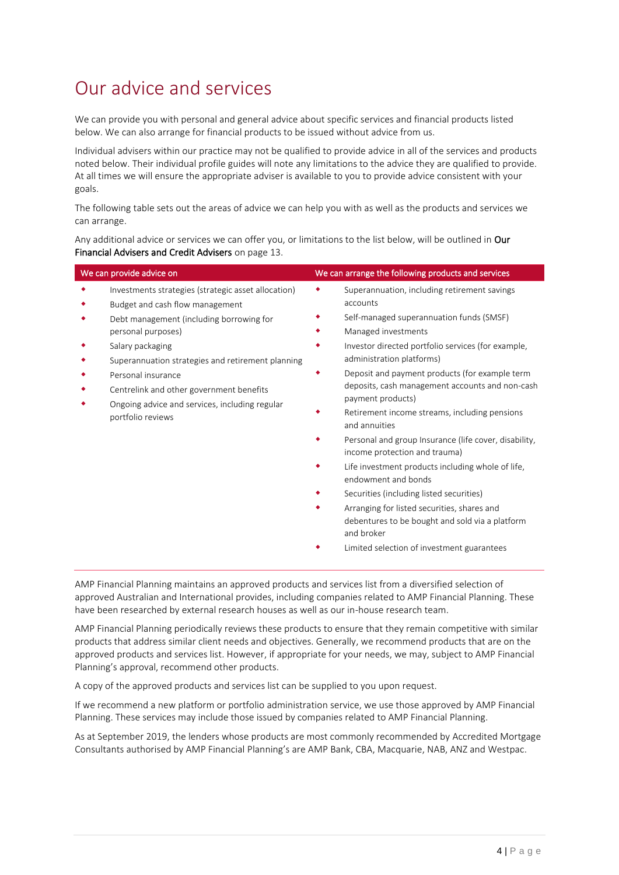# Our advice and services

We can provide you with personal and general advice about specific services and financial products listed below. We can also arrange for financial products to be issued without advice from us.

Individual advisers within our practice may not be qualified to provide advice in all of the services and products noted below. Their individual profile guides will note any limitations to the advice they are qualified to provide. At all times we will ensure the appropriate adviser is available to you to provide advice consistent with your goals.

The following table sets out the areas of advice we can help you with as well as the products and services we can arrange.

Any additional advice or services we can offer you, or limitations to the list below, will be outlined in Our Financial Advisers and Credit Advisers on page [13.](#page-12-0)

| We can provide advice on                                                                                                                                                                                                                                                                                                                                                   | We can arrange the following products and services                                                                                                                                                                                                                                                                                                                                                                                                                                                                                                                                                                                                                                                                                                                                         |
|----------------------------------------------------------------------------------------------------------------------------------------------------------------------------------------------------------------------------------------------------------------------------------------------------------------------------------------------------------------------------|--------------------------------------------------------------------------------------------------------------------------------------------------------------------------------------------------------------------------------------------------------------------------------------------------------------------------------------------------------------------------------------------------------------------------------------------------------------------------------------------------------------------------------------------------------------------------------------------------------------------------------------------------------------------------------------------------------------------------------------------------------------------------------------------|
| Investments strategies (strategic asset allocation)<br>Budget and cash flow management<br>Debt management (including borrowing for<br>personal purposes)<br>Salary packaging<br>Superannuation strategies and retirement planning<br>Personal insurance<br>Centrelink and other government benefits<br>Ongoing advice and services, including regular<br>portfolio reviews | Superannuation, including retirement savings<br>accounts<br>Self-managed superannuation funds (SMSF)<br>Managed investments<br>Investor directed portfolio services (for example,<br>administration platforms)<br>Deposit and payment products (for example term<br>deposits, cash management accounts and non-cash<br>payment products)<br>Retirement income streams, including pensions<br>and annuities<br>Personal and group Insurance (life cover, disability,<br>income protection and trauma)<br>Life investment products including whole of life,<br>endowment and bonds<br>Securities (including listed securities)<br>Arranging for listed securities, shares and<br>debentures to be bought and sold via a platform<br>and broker<br>Limited selection of investment guarantees |
|                                                                                                                                                                                                                                                                                                                                                                            |                                                                                                                                                                                                                                                                                                                                                                                                                                                                                                                                                                                                                                                                                                                                                                                            |

AMP Financial Planning maintains an approved products and services list from a diversified selection of approved Australian and International provides, including companies related to AMP Financial Planning. These have been researched by external research houses as well as our in-house research team.

AMP Financial Planning periodically reviews these products to ensure that they remain competitive with similar products that address similar client needs and objectives. Generally, we recommend products that are on the approved products and services list. However, if appropriate for your needs, we may, subject to AMP Financial Planning's approval, recommend other products.

A copy of the approved products and services list can be supplied to you upon request.

If we recommend a new platform or portfolio administration service, we use those approved by AMP Financial Planning. These services may include those issued by companies related to AMP Financial Planning.

As at September 2019, the lenders whose products are most commonly recommended by Accredited Mortgage Consultants authorised by AMP Financial Planning's are AMP Bank, CBA, Macquarie, NAB, ANZ and Westpac.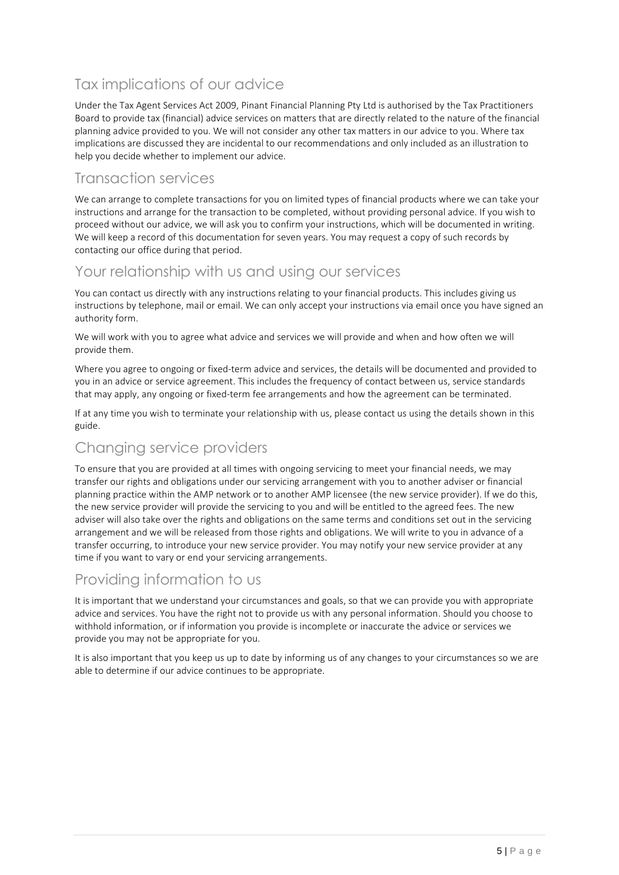## Tax implications of our advice

Under the Tax Agent Services Act 2009, Pinant Financial Planning Pty Ltd is authorised by the Tax Practitioners Board to provide tax (financial) advice services on matters that are directly related to the nature of the financial planning advice provided to you. We will not consider any other tax matters in our advice to you. Where tax implications are discussed they are incidental to our recommendations and only included as an illustration to help you decide whether to implement our advice.

### Transaction services

We can arrange to complete transactions for you on limited types of financial products where we can take your instructions and arrange for the transaction to be completed, without providing personal advice. If you wish to proceed without our advice, we will ask you to confirm your instructions, which will be documented in writing. We will keep a record of this documentation for seven years. You may request a copy of such records by contacting our office during that period.

## Your relationship with us and using our services

You can contact us directly with any instructions relating to your financial products. This includes giving us instructions by telephone, mail or email. We can only accept your instructions via email once you have signed an authority form.

We will work with you to agree what advice and services we will provide and when and how often we will provide them.

Where you agree to ongoing or fixed-term advice and services, the details will be documented and provided to you in an advice or service agreement. This includes the frequency of contact between us, service standards that may apply, any ongoing or fixed-term fee arrangements and how the agreement can be terminated.

If at any time you wish to terminate your relationship with us, please contact us using the details shown in this guide.

## Changing service providers

To ensure that you are provided at all times with ongoing servicing to meet your financial needs, we may transfer our rights and obligations under our servicing arrangement with you to another adviser or financial planning practice within the AMP network or to another AMP licensee (the new service provider). If we do this, the new service provider will provide the servicing to you and will be entitled to the agreed fees. The new adviser will also take over the rights and obligations on the same terms and conditions set out in the servicing arrangement and we will be released from those rights and obligations. We will write to you in advance of a transfer occurring, to introduce your new service provider. You may notify your new service provider at any time if you want to vary or end your servicing arrangements.

## Providing information to us

It is important that we understand your circumstances and goals, so that we can provide you with appropriate advice and services. You have the right not to provide us with any personal information. Should you choose to withhold information, or if information you provide is incomplete or inaccurate the advice or services we provide you may not be appropriate for you.

It is also important that you keep us up to date by informing us of any changes to your circumstances so we are able to determine if our advice continues to be appropriate.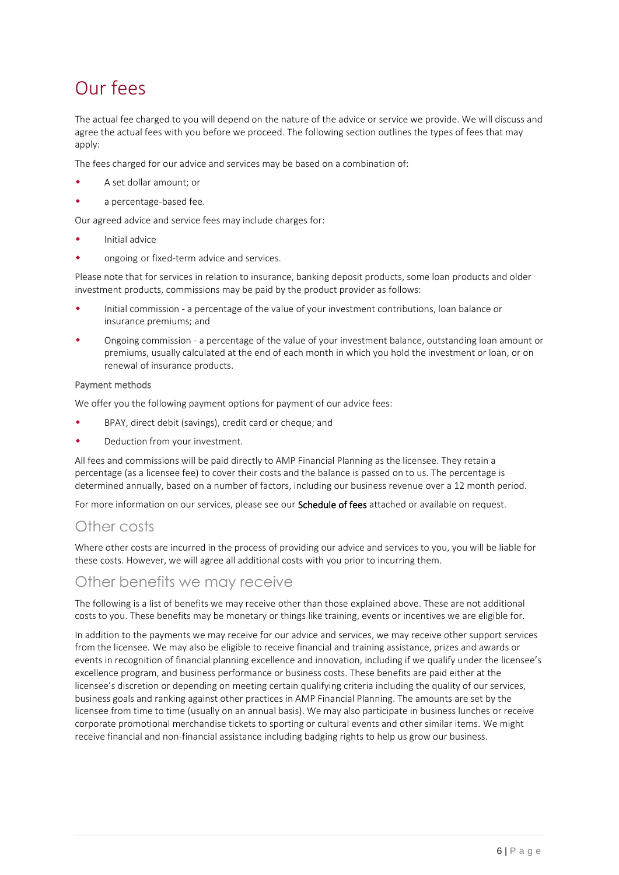# Our fees

The actual fee charged to you will depend on the nature of the advice or service we provide. We will discuss and agree the actual fees with you before we proceed. The following section outlines the types of fees that may apply:

The fees charged for our advice and services may be based on a combination of:

- A set dollar amount; or
- a percentage-based fee.

Our agreed advice and service fees may include charges for:

- Initial advice
- ongoing or fixed-term advice and services.

Please note that for services in relation to insurance, banking deposit products, some loan products and older investment products, commissions may be paid by the product provider as follows:

- Initial commission a percentage of the value of your investment contributions, loan balance or insurance premiums; and
- Ongoing commission a percentage of the value of your investment balance, outstanding loan amount or premiums, usually calculated at the end of each month in which you hold the investment or loan, or on renewal of insurance products.

### Payment methods

We offer you the following payment options for payment of our advice fees:

- BPAY, direct debit (savings), credit card or cheque; and
- Deduction from your investment.

All fees and commissions will be paid directly to AMP Financial Planning as the licensee. They retain a percentage (as a licensee fee) to cover their costs and the balance is passed on to us. The percentage is determined annually, based on a number of factors, including our business revenue over a 12 month period.

For more information on our services, please see our **Schedule of fees** attached or available on request.

### Other costs

Where other costs are incurred in the process of providing our advice and services to you, you will be liable for these costs. However, we will agree all additional costs with you prior to incurring them.

### Other benefits we may receive

The following is a list of benefits we may receive other than those explained above. These are not additional costs to you. These benefits may be monetary or things like training, events or incentives we are eligible for.

In addition to the payments we may receive for our advice and services, we may receive other support services from the licensee. We may also be eligible to receive financial and training assistance, prizes and awards or events in recognition of financial planning excellence and innovation, including if we qualify under the licensee's excellence program, and business performance or business costs. These benefits are paid either at the licensee's discretion or depending on meeting certain qualifying criteria including the quality of our services, business goals and ranking against other practices in AMP Financial Planning. The amounts are set by the licensee from time to time (usually on an annual basis). We may also participate in business lunches or receive corporate promotional merchandise tickets to sporting or cultural events and other similar items. We might receive financial and non-financial assistance including badging rights to help us grow our business.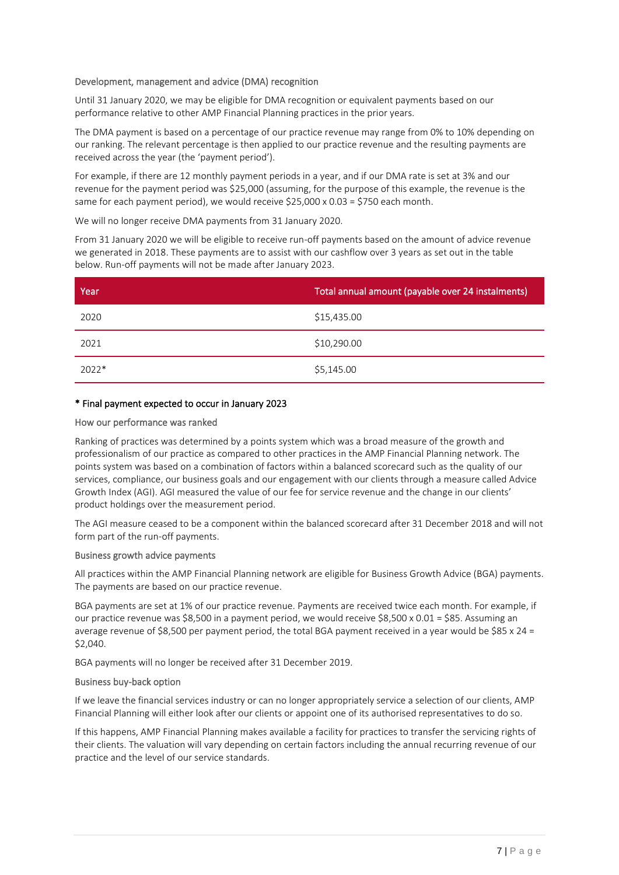### Development, management and advice (DMA) recognition

Until 31 January 2020, we may be eligible for DMA recognition or equivalent payments based on our performance relative to other AMP Financial Planning practices in the prior years.

The DMA payment is based on a percentage of our practice revenue may range from 0% to 10% depending on our ranking. The relevant percentage is then applied to our practice revenue and the resulting payments are received across the year (the 'payment period').

For example, if there are 12 monthly payment periods in a year, and if our DMA rate is set at 3% and our revenue for the payment period was \$25,000 (assuming, for the purpose of this example, the revenue is the same for each payment period), we would receive  $$25,000 \times 0.03 = $750$  each month.

We will no longer receive DMA payments from 31 January 2020.

From 31 January 2020 we will be eligible to receive run-off payments based on the amount of advice revenue we generated in 2018. These payments are to assist with our cashflow over 3 years as set out in the table below. Run-off payments will not be made after January 2023.

| Year    | Total annual amount (payable over 24 instalments) |
|---------|---------------------------------------------------|
| 2020    | \$15,435.00                                       |
| 2021    | \$10,290.00                                       |
| $2022*$ | \$5,145.00                                        |

### \* Final payment expected to occur in January 2023

### How our performance was ranked

Ranking of practices was determined by a points system which was a broad measure of the growth and professionalism of our practice as compared to other practices in the AMP Financial Planning network. The points system was based on a combination of factors within a balanced scorecard such as the quality of our services, compliance, our business goals and our engagement with our clients through a measure called Advice Growth Index (AGI). AGI measured the value of our fee for service revenue and the change in our clients' product holdings over the measurement period.

The AGI measure ceased to be a component within the balanced scorecard after 31 December 2018 and will not form part of the run-off payments.

### Business growth advice payments

All practices within the AMP Financial Planning network are eligible for Business Growth Advice (BGA) payments. The payments are based on our practice revenue.

BGA payments are set at 1% of our practice revenue. Payments are received twice each month. For example, if our practice revenue was \$8,500 in a payment period, we would receive \$8,500 x 0.01 = \$85. Assuming an average revenue of \$8,500 per payment period, the total BGA payment received in a year would be \$85 x 24 = \$2,040.

BGA payments will no longer be received after 31 December 2019.

### Business buy-back option

If we leave the financial services industry or can no longer appropriately service a selection of our clients, AMP Financial Planning will either look after our clients or appoint one of its authorised representatives to do so.

If this happens, AMP Financial Planning makes available a facility for practices to transfer the servicing rights of their clients. The valuation will vary depending on certain factors including the annual recurring revenue of our practice and the level of our service standards.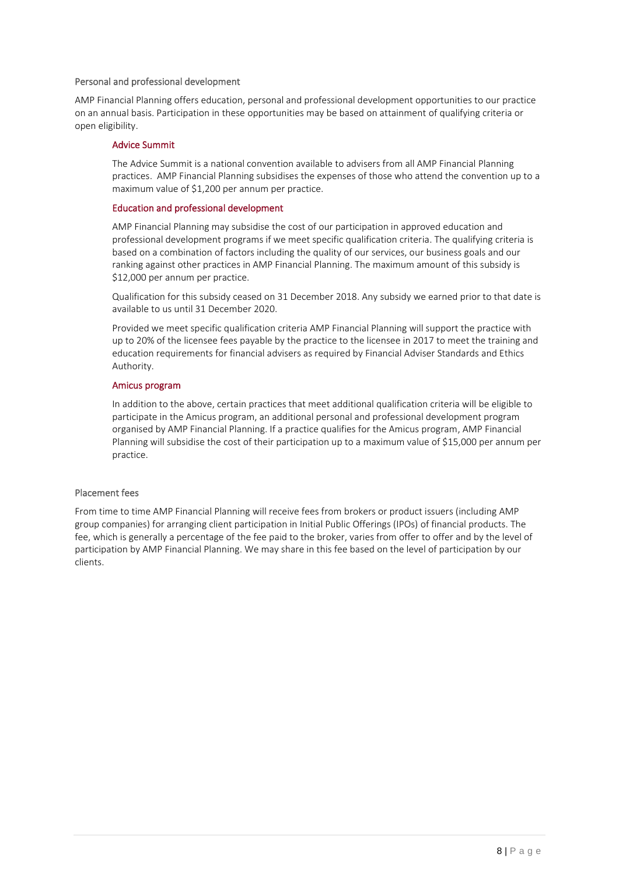### Personal and professional development

AMP Financial Planning offers education, personal and professional development opportunities to our practice on an annual basis. Participation in these opportunities may be based on attainment of qualifying criteria or open eligibility.

#### Advice Summit

The Advice Summit is a national convention available to advisers from all AMP Financial Planning practices. AMP Financial Planning subsidises the expenses of those who attend the convention up to a maximum value of \$1,200 per annum per practice.

#### Education and professional development

AMP Financial Planning may subsidise the cost of our participation in approved education and professional development programs if we meet specific qualification criteria. The qualifying criteria is based on a combination of factors including the quality of our services, our business goals and our ranking against other practices in AMP Financial Planning. The maximum amount of this subsidy is \$12,000 per annum per practice.

Qualification for this subsidy ceased on 31 December 2018. Any subsidy we earned prior to that date is available to us until 31 December 2020.

Provided we meet specific qualification criteria AMP Financial Planning will support the practice with up to 20% of the licensee fees payable by the practice to the licensee in 2017 to meet the training and education requirements for financial advisers as required by Financial Adviser Standards and Ethics Authority.

### Amicus program

In addition to the above, certain practices that meet additional qualification criteria will be eligible to participate in the Amicus program, an additional personal and professional development program organised by AMP Financial Planning. If a practice qualifies for the Amicus program, AMP Financial Planning will subsidise the cost of their participation up to a maximum value of \$15,000 per annum per practice.

### Placement fees

From time to time AMP Financial Planning will receive fees from brokers or product issuers (including AMP group companies) for arranging client participation in Initial Public Offerings (IPOs) of financial products. The fee, which is generally a percentage of the fee paid to the broker, varies from offer to offer and by the level of participation by AMP Financial Planning. We may share in this fee based on the level of participation by our clients.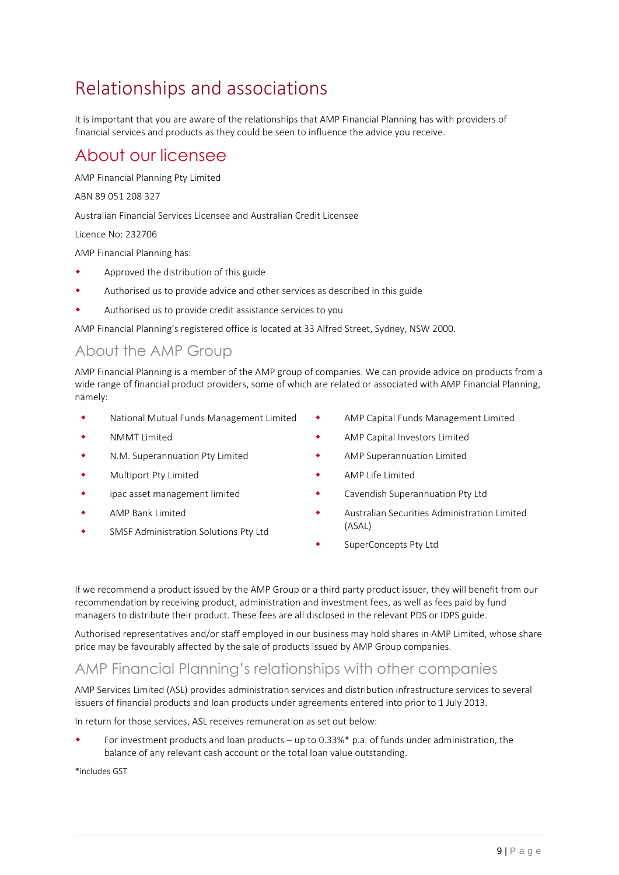# Relationships and associations

It is important that you are aware of the relationships that AMP Financial Planning has with providers of financial services and products as they could be seen to influence the advice you receive.

## About our licensee

AMP Financial Planning Pty Limited

ABN 89 051 208 327

Australian Financial Services Licensee and Australian Credit Licensee

Licence No: 232706

AMP Financial Planning has:

- Approved the distribution of this guide
- Authorised us to provide advice and other services as described in this guide
- Authorised us to provide credit assistance services to you

AMP Financial Planning's registered office is located at 33 Alfred Street, Sydney, NSW 2000.

## About the AMP Group

AMP Financial Planning is a member of the AMP group of companies. We can provide advice on products from a wide range of financial product providers, some of which are related or associated with AMP Financial Planning, namely:

- National Mutual Funds Management Limited
- NMMT Limited
- N.M. Superannuation Pty Limited
- Multiport Pty Limited
- ipac asset management limited
- AMP Bank Limited
- SMSF Administration Solutions Pty Ltd
- AMP Capital Funds Management Limited
- AMP Capital Investors Limited
- AMP Superannuation Limited
- AMP Life Limited
- Cavendish Superannuation Pty Ltd
- Australian Securities Administration Limited (ASAL)
- SuperConcepts Pty Ltd

If we recommend a product issued by the AMP Group or a third party product issuer, they will benefit from our recommendation by receiving product, administration and investment fees, as well as fees paid by fund managers to distribute their product. These fees are all disclosed in the relevant PDS or IDPS guide.

Authorised representatives and/or staff employed in our business may hold shares in AMP Limited, whose share price may be favourably affected by the sale of products issued by AMP Group companies.

### AMP Financial Planning's relationships with other companies

AMP Services Limited (ASL) provides administration services and distribution infrastructure services to several issuers of financial products and loan products under agreements entered into prior to 1 July 2013.

In return for those services, ASL receives remuneration as set out below:

 For investment products and loan products – up to 0.33%\* p.a. of funds under administration, the balance of any relevant cash account or the total loan value outstanding.

\*includes GST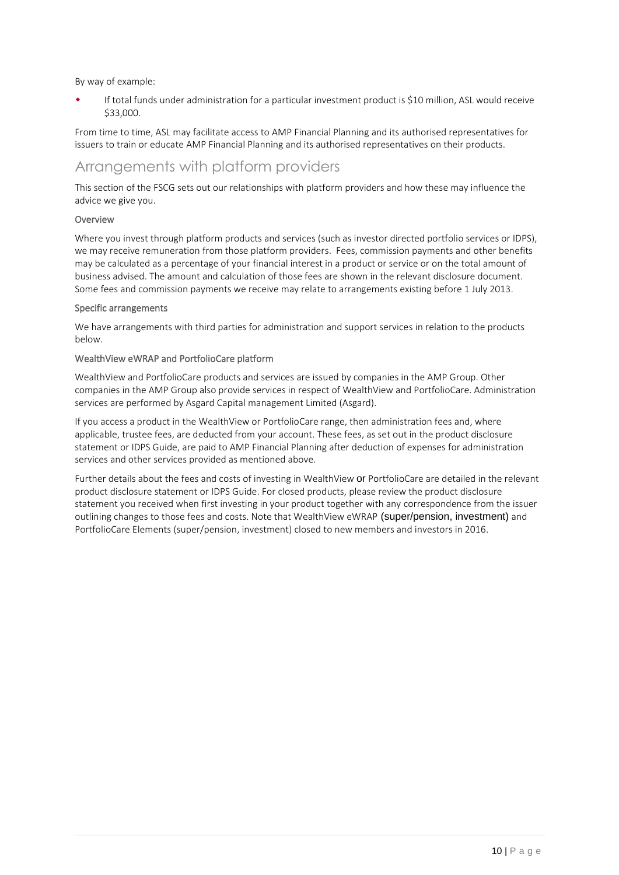By way of example:

 If total funds under administration for a particular investment product is \$10 million, ASL would receive \$33,000.

From time to time, ASL may facilitate access to AMP Financial Planning and its authorised representatives for issuers to train or educate AMP Financial Planning and its authorised representatives on their products.

## Arrangements with platform providers

This section of the FSCG sets out our relationships with platform providers and how these may influence the advice we give you.

### Overview

Where you invest through platform products and services (such as investor directed portfolio services or IDPS), we may receive remuneration from those platform providers. Fees, commission payments and other benefits may be calculated as a percentage of your financial interest in a product or service or on the total amount of business advised. The amount and calculation of those fees are shown in the relevant disclosure document. Some fees and commission payments we receive may relate to arrangements existing before 1 July 2013.

### Specific arrangements

We have arrangements with third parties for administration and support services in relation to the products below.

### WealthView eWRAP and PortfolioCare platform

WealthView and PortfolioCare products and services are issued by companies in the AMP Group. Other companies in the AMP Group also provide services in respect of WealthView and PortfolioCare. Administration services are performed by Asgard Capital management Limited (Asgard).

If you access a product in the WealthView or PortfolioCare range, then administration fees and, where applicable, trustee fees, are deducted from your account. These fees, as set out in the product disclosure statement or IDPS Guide, are paid to AMP Financial Planning after deduction of expenses for administration services and other services provided as mentioned above.

Further details about the fees and costs of investing in WealthView or PortfolioCare are detailed in the relevant product disclosure statement or IDPS Guide. For closed products, please review the product disclosure statement you received when first investing in your product together with any correspondence from the issuer outlining changes to those fees and costs. Note that WealthView eWRAP (super/pension, investment) and PortfolioCare Elements (super/pension, investment) closed to new members and investors in 2016.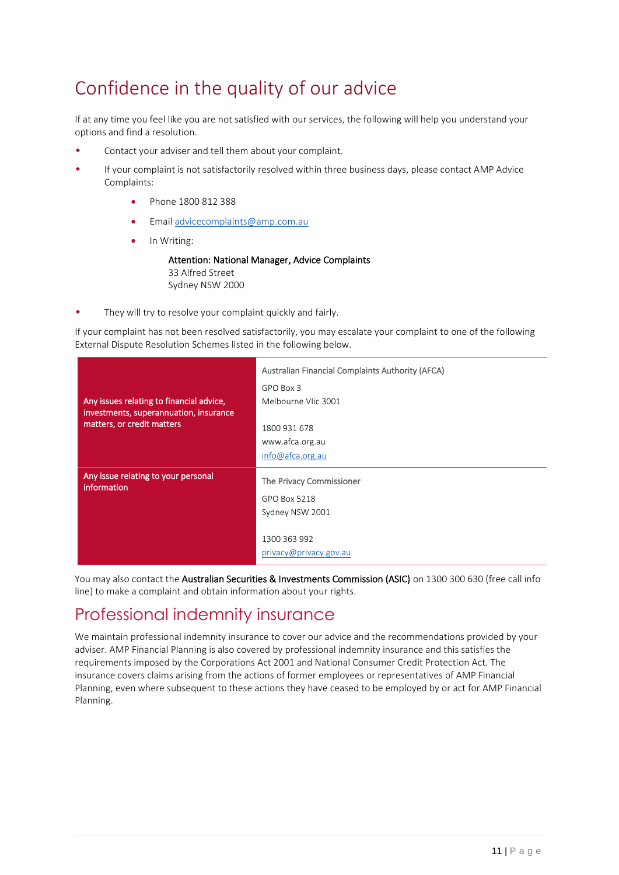# Confidence in the quality of our advice

If at any time you feel like you are not satisfied with our services, the following will help you understand your options and find a resolution.

- Contact your adviser and tell them about your complaint.
- If your complaint is not satisfactorily resolved within three business days, please contact AMP Advice Complaints:
	- Phone 1800 812 388
	- Email [advicecomplaints@amp.com.au](mailto:advicecomplaints@amp.com.au)
	- In Writing:

Attention: National Manager, Advice Complaints 33 Alfred Street Sydney NSW 2000

They will try to resolve your complaint quickly and fairly.

If your complaint has not been resolved satisfactorily, you may escalate your complaint to one of the following External Dispute Resolution Schemes listed in the following below.

| Any issues relating to financial advice,<br>investments, superannuation, insurance<br>matters, or credit matters | Australian Financial Complaints Authority (AFCA)<br>GPO Box 3<br>Melbourne VIic 3001<br>1800 931 678<br>www.afca.org.au |
|------------------------------------------------------------------------------------------------------------------|-------------------------------------------------------------------------------------------------------------------------|
|                                                                                                                  | info@afca.org.au                                                                                                        |
| Any issue relating to your personal<br>information                                                               | The Privacy Commissioner                                                                                                |
|                                                                                                                  | GPO Box 5218                                                                                                            |
|                                                                                                                  | Sydney NSW 2001                                                                                                         |
|                                                                                                                  |                                                                                                                         |
|                                                                                                                  | 1300 363 992                                                                                                            |
|                                                                                                                  | privacy@privacy.gov.au                                                                                                  |

You may also contact the Australian Securities & Investments Commission (ASIC) on 1300 300 630 (free call info line) to make a complaint and obtain information about your rights.

## Professional indemnity insurance

We maintain professional indemnity insurance to cover our advice and the recommendations provided by your adviser. AMP Financial Planning is also covered by professional indemnity insurance and this satisfies the requirements imposed by the Corporations Act 2001 and National Consumer Credit Protection Act. The insurance covers claims arising from the actions of former employees or representatives of AMP Financial Planning, even where subsequent to these actions they have ceased to be employed by or act for AMP Financial Planning.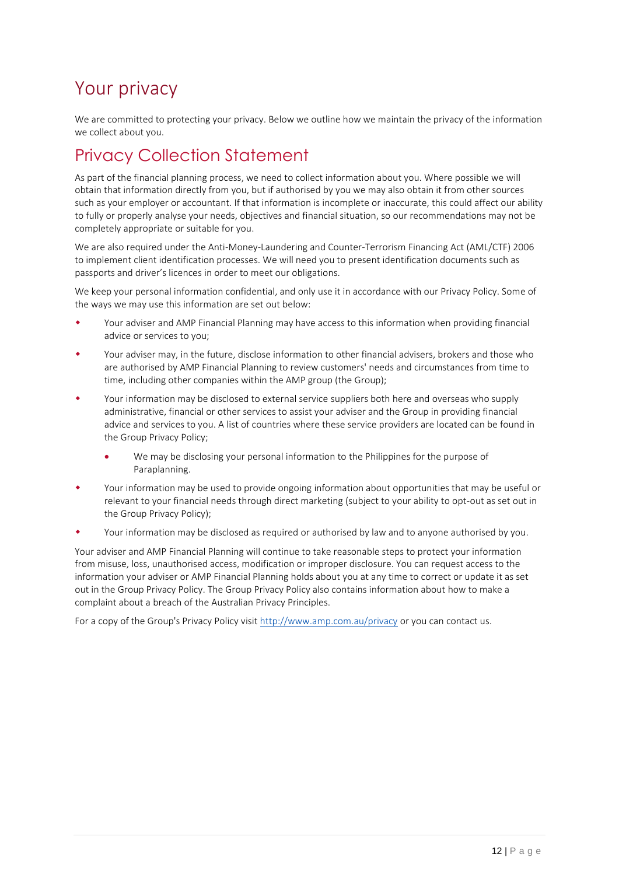# Your privacy

We are committed to protecting your privacy. Below we outline how we maintain the privacy of the information we collect about you.

## Privacy Collection Statement

As part of the financial planning process, we need to collect information about you. Where possible we will obtain that information directly from you, but if authorised by you we may also obtain it from other sources such as your employer or accountant. If that information is incomplete or inaccurate, this could affect our ability to fully or properly analyse your needs, objectives and financial situation, so our recommendations may not be completely appropriate or suitable for you.

We are also required under the Anti-Money-Laundering and Counter-Terrorism Financing Act (AML/CTF) 2006 to implement client identification processes. We will need you to present identification documents such as passports and driver's licences in order to meet our obligations.

We keep your personal information confidential, and only use it in accordance with our Privacy Policy. Some of the ways we may use this information are set out below:

- Your adviser and AMP Financial Planning may have access to this information when providing financial advice or services to you;
- Your adviser may, in the future, disclose information to other financial advisers, brokers and those who are authorised by AMP Financial Planning to review customers' needs and circumstances from time to time, including other companies within the AMP group (the Group);
- Your information may be disclosed to external service suppliers both here and overseas who supply administrative, financial or other services to assist your adviser and the Group in providing financial advice and services to you. A list of countries where these service providers are located can be found in the Group Privacy Policy;
	- We may be disclosing your personal information to the Philippines for the purpose of Paraplanning.
- Your information may be used to provide ongoing information about opportunities that may be useful or relevant to your financial needs through direct marketing (subject to your ability to opt-out as set out in the Group Privacy Policy);
- Your information may be disclosed as required or authorised by law and to anyone authorised by you.

Your adviser and AMP Financial Planning will continue to take reasonable steps to protect your information from misuse, loss, unauthorised access, modification or improper disclosure. You can request access to the information your adviser or AMP Financial Planning holds about you at any time to correct or update it as set out in the Group Privacy Policy. The Group Privacy Policy also contains information about how to make a complaint about a breach of the Australian Privacy Principles.

For a copy of the Group's Privacy Policy visit<http://www.amp.com.au/privacy> or you can contact us.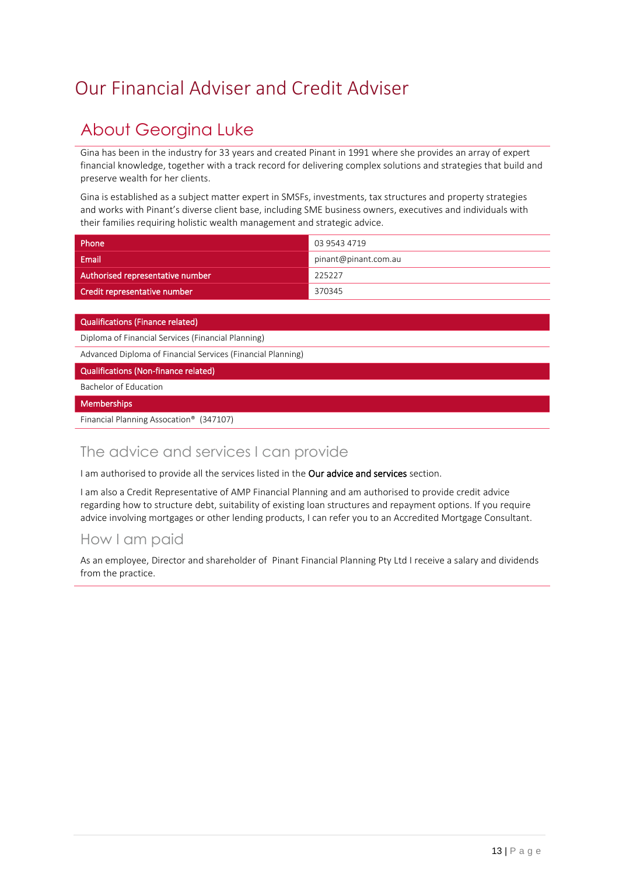# <span id="page-12-0"></span>Our Financial Adviser and Credit Adviser

## About Georgina Luke

Gina has been in the industry for 33 years and created Pinant in 1991 where she provides an array of expert financial knowledge, together with a track record for delivering complex solutions and strategies that build and preserve wealth for her clients.

Gina is established as a subject matter expert in SMSFs, investments, tax structures and property strategies and works with Pinant's diverse client base, including SME business owners, executives and individuals with their families requiring holistic wealth management and strategic advice.

| Phone                            | 03 9543 4719         |
|----------------------------------|----------------------|
| Email                            | pinant@pinant.com.au |
| Authorised representative number | 225227               |
| Credit representative number     | 370345               |

### Qualifications (Finance related)

Diploma of Financial Services (Financial Planning)

Advanced Diploma of Financial Services (Financial Planning)

Qualifications (Non-finance related)

Bachelor of Education

### **Memberships**

Financial Planning Assocation® (347107)

## The advice and services I can provide

I am authorised to provide all the services listed in the Our advice and services section.

I am also a Credit Representative of AMP Financial Planning and am authorised to provide credit advice regarding how to structure debt, suitability of existing loan structures and repayment options. If you require advice involving mortgages or other lending products, I can refer you to an Accredited Mortgage Consultant.

### How I am paid

As an employee, Director and shareholder of Pinant Financial Planning Pty Ltd I receive a salary and dividends from the practice.